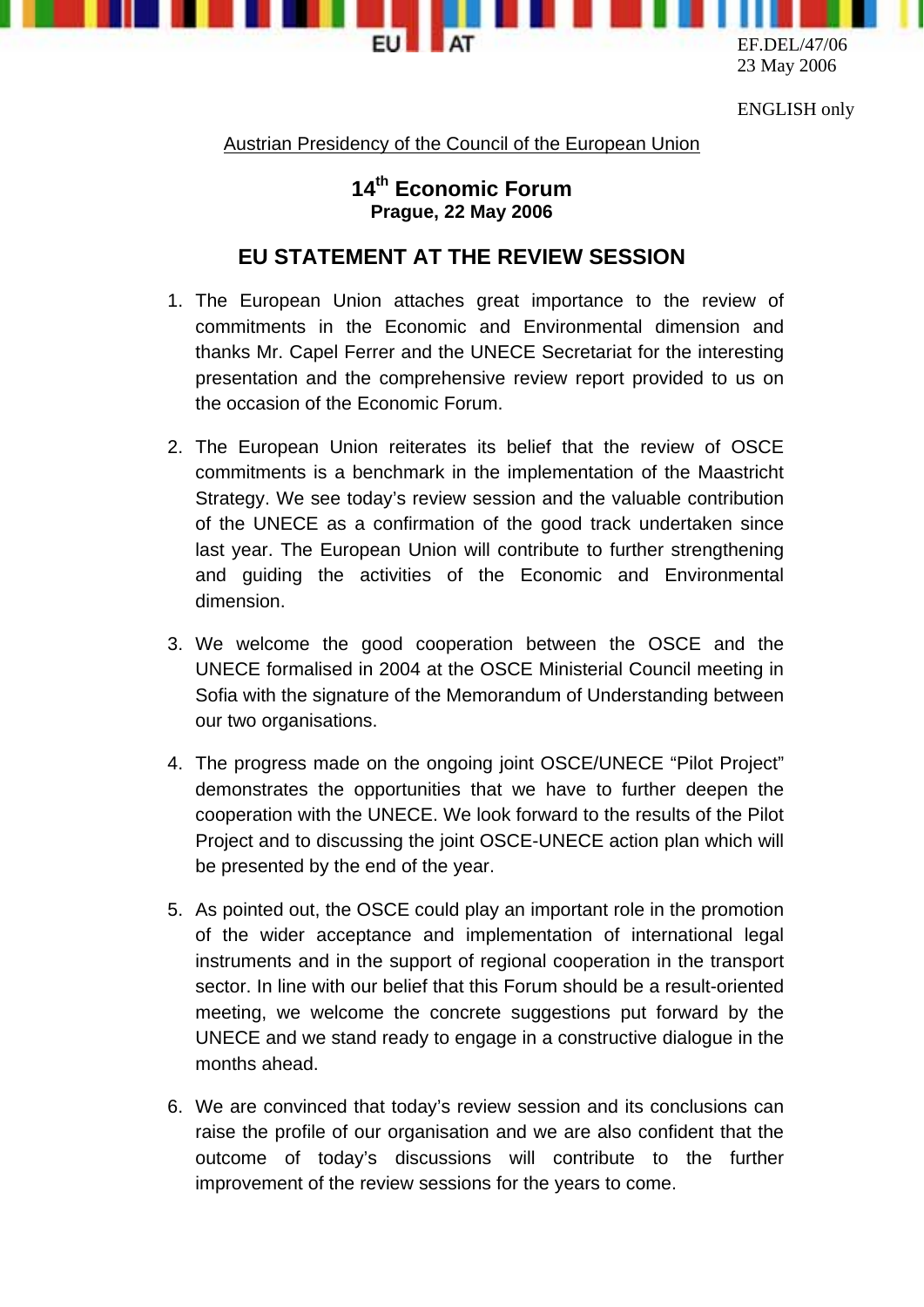

ENGLISH only

Austrian Presidency of the Council of the European Union

## **14th Economic Forum Prague, 22 May 2006**

## **EU STATEMENT AT THE REVIEW SESSION**

- 1. The European Union attaches great importance to the review of commitments in the Economic and Environmental dimension and thanks Mr. Capel Ferrer and the UNECE Secretariat for the interesting presentation and the comprehensive review report provided to us on the occasion of the Economic Forum.
- 2. The European Union reiterates its belief that the review of OSCE commitments is a benchmark in the implementation of the Maastricht Strategy. We see today's review session and the valuable contribution of the UNECE as a confirmation of the good track undertaken since last year. The European Union will contribute to further strengthening and guiding the activities of the Economic and Environmental dimension.
- 3. We welcome the good cooperation between the OSCE and the UNECE formalised in 2004 at the OSCE Ministerial Council meeting in Sofia with the signature of the Memorandum of Understanding between our two organisations.
- 4. The progress made on the ongoing joint OSCE/UNECE "Pilot Project" demonstrates the opportunities that we have to further deepen the cooperation with the UNECE. We look forward to the results of the Pilot Project and to discussing the joint OSCE-UNECE action plan which will be presented by the end of the year.
- 5. As pointed out, the OSCE could play an important role in the promotion of the wider acceptance and implementation of international legal instruments and in the support of regional cooperation in the transport sector. In line with our belief that this Forum should be a result-oriented meeting, we welcome the concrete suggestions put forward by the UNECE and we stand ready to engage in a constructive dialogue in the months ahead.
- 6. We are convinced that today's review session and its conclusions can raise the profile of our organisation and we are also confident that the outcome of today's discussions will contribute to the further improvement of the review sessions for the years to come.